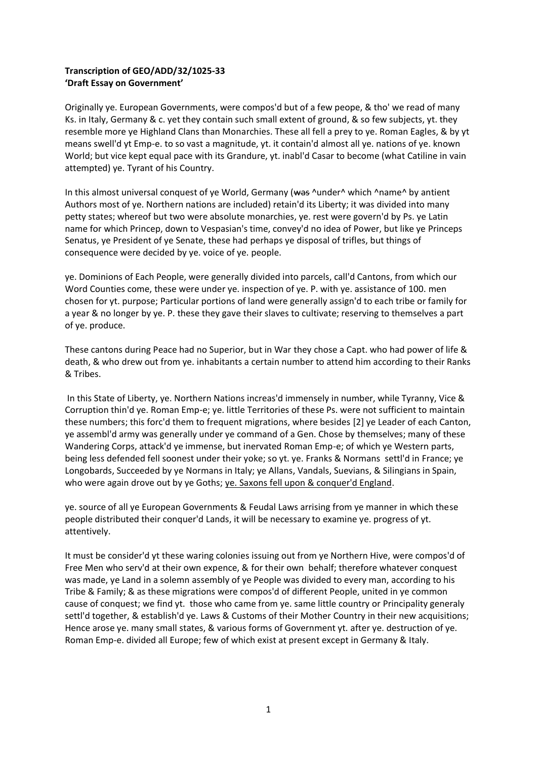# **Transcription of GEO/ADD/32/1025-33 'Draft Essay on Government'**

Originally ye. European Governments, were compos'd but of a few peope, & tho' we read of many Ks. in Italy, Germany & c. yet they contain such small extent of ground, & so few subjects, yt. they resemble more ye Highland Clans than Monarchies. These all fell a prey to ye. Roman Eagles, & by yt means swell'd yt Emp-e. to so vast a magnitude, yt. it contain'd almost all ye. nations of ye. known World; but vice kept equal pace with its Grandure, yt. inabl'd Casar to become (what Catiline in vain attempted) ye. Tyrant of his Country.

In this almost universal conquest of ye World, Germany (was ^under^ which ^name^ by antient Authors most of ye. Northern nations are included) retain'd its Liberty; it was divided into many petty states; whereof but two were absolute monarchies, ye. rest were govern'd by Ps. ye Latin name for which Princep, down to Vespasian's time, convey'd no idea of Power, but like ye Princeps Senatus, ye President of ye Senate, these had perhaps ye disposal of trifles, but things of consequence were decided by ye. voice of ye. people.

ye. Dominions of Each People, were generally divided into parcels, call'd Cantons, from which our Word Counties come, these were under ye. inspection of ye. P. with ye. assistance of 100. men chosen for yt. purpose; Particular portions of land were generally assign'd to each tribe or family for a year & no longer by ye. P. these they gave their slaves to cultivate; reserving to themselves a part of ye. produce.

These cantons during Peace had no Superior, but in War they chose a Capt. who had power of life & death, & who drew out from ye. inhabitants a certain number to attend him according to their Ranks & Tribes.

In this State of Liberty, ye. Northern Nations increas'd immensely in number, while Tyranny, Vice & Corruption thin'd ye. Roman Emp-e; ye. little Territories of these Ps. were not sufficient to maintain these numbers; this forc'd them to frequent migrations, where besides [2] ye Leader of each Canton, ye assembl'd army was generally under ye command of a Gen. Chose by themselves; many of these Wandering Corps, attack'd ye immense, but inervated Roman Emp-e; of which ye Western parts, being less defended fell soonest under their yoke; so yt. ye. Franks & Normans settl'd in France; ye Longobards, Succeeded by ye Normans in Italy; ye Allans, Vandals, Suevians, & Silingians in Spain, who were again drove out by ye Goths; ye. Saxons fell upon & conquer'd England.

ye. source of all ye European Governments & Feudal Laws arrising from ye manner in which these people distributed their conquer'd Lands, it will be necessary to examine ye. progress of yt. attentively.

It must be consider'd yt these waring colonies issuing out from ye Northern Hive, were compos'd of Free Men who serv'd at their own expence, & for their own behalf; therefore whatever conquest was made, ye Land in a solemn assembly of ye People was divided to every man, according to his Tribe & Family; & as these migrations were compos'd of different People, united in ye common cause of conquest; we find yt. those who came from ye. same little country or Principality generaly settl'd together, & establish'd ye. Laws & Customs of their Mother Country in their new acquisitions; Hence arose ye. many small states, & various forms of Government yt. after ye. destruction of ye. Roman Emp-e. divided all Europe; few of which exist at present except in Germany & Italy.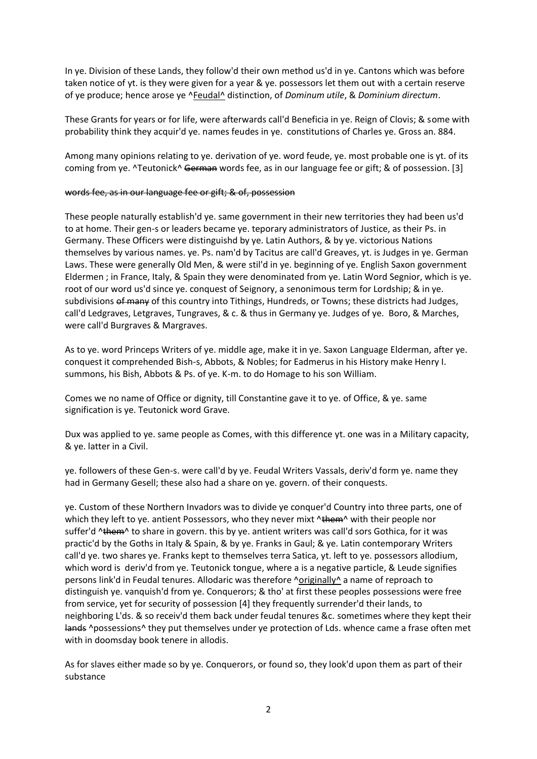In ye. Division of these Lands, they follow'd their own method us'd in ye. Cantons which was before taken notice of yt. is they were given for a year & ye. possessors let them out with a certain reserve of ye produce; hence arose ye ^Feudal^ distinction, of *Dominum utile*, & *Dominium directum*.

These Grants for years or for life, were afterwards call'd Beneficia in ye. Reign of Clovis; & some with probability think they acquir'd ye. names feudes in ye. constitutions of Charles ye. Gross an. 884.

Among many opinions relating to ye. derivation of ye. word feude, ye. most probable one is yt. of its coming from ye. ^Teutonick^ German words fee, as in our language fee or gift; & of possession. [3]

### words fee, as in our language fee or gift; & of, possession

These people naturally establish'd ye. same government in their new territories they had been us'd to at home. Their gen-s or leaders became ye. teporary administrators of Justice, as their Ps. in Germany. These Officers were distinguishd by ye. Latin Authors, & by ye. victorious Nations themselves by various names. ye. Ps. nam'd by Tacitus are call'd Greaves, yt. is Judges in ye. German Laws. These were generally Old Men, & were stil'd in ye. beginning of ye. English Saxon government Eldermen ; in France, Italy, & Spain they were denominated from ye. Latin Word Segnior, which is ye. root of our word us'd since ye. conquest of Seignory, a senonimous term for Lordship; & in ye. subdivisions of many of this country into Tithings, Hundreds, or Towns; these districts had Judges, call'd Ledgraves, Letgraves, Tungraves, & c. & thus in Germany ye. Judges of ye. Boro, & Marches, were call'd Burgraves & Margraves.

As to ye. word Princeps Writers of ye. middle age, make it in ye. Saxon Language Elderman, after ye. conquest it comprehended Bish-s, Abbots, & Nobles; for Eadmerus in his History make Henry I. summons, his Bish, Abbots & Ps. of ye. K-m. to do Homage to his son William.

Comes we no name of Office or dignity, till Constantine gave it to ye. of Office, & ye. same signification is ye. Teutonick word Grave.

Dux was applied to ye. same people as Comes, with this difference yt. one was in a Military capacity, & ye. latter in a Civil.

ye. followers of these Gen-s. were call'd by ye. Feudal Writers Vassals, deriv'd form ye. name they had in Germany Gesell; these also had a share on ye. govern. of their conquests.

ye. Custom of these Northern Invadors was to divide ye conquer'd Country into three parts, one of which they left to ye. antient Possessors, who they never mixt ^them^ with their people nor suffer'd ^them^ to share in govern. this by ye. antient writers was call'd sors Gothica, for it was practic'd by the Goths in Italy & Spain, & by ye. Franks in Gaul; & ye. Latin contemporary Writers call'd ye. two shares ye. Franks kept to themselves terra Satica, yt. left to ye. possessors allodium, which word is deriv'd from ye. Teutonick tongue, where a is a negative particle, & Leude signifies persons link'd in Feudal tenures. Allodaric was therefore ^originally^ a name of reproach to distinguish ye. vanquish'd from ye. Conquerors; & tho' at first these peoples possessions were free from service, yet for security of possession [4] they frequently surrender'd their lands, to neighboring L'ds. & so receiv'd them back under feudal tenures &c. sometimes where they kept their lands ^possessions^ they put themselves under ye protection of Lds. whence came a frase often met with in doomsday book tenere in allodis.

As for slaves either made so by ye. Conquerors, or found so, they look'd upon them as part of their substance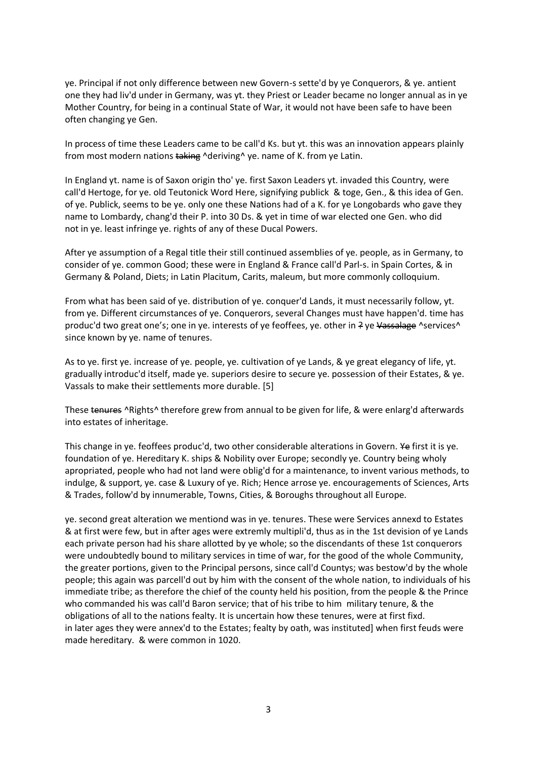ye. Principal if not only difference between new Govern-s sette'd by ye Conquerors, & ye. antient one they had liv'd under in Germany, was yt. they Priest or Leader became no longer annual as in ye Mother Country, for being in a continual State of War, it would not have been safe to have been often changing ye Gen.

In process of time these Leaders came to be call'd Ks. but yt. this was an innovation appears plainly from most modern nations taking ^deriving^ ye. name of K. from ye Latin.

In England yt. name is of Saxon origin tho' ye. first Saxon Leaders yt. invaded this Country, were call'd Hertoge, for ye. old Teutonick Word Here, signifying publick & toge, Gen., & this idea of Gen. of ye. Publick, seems to be ye. only one these Nations had of a K. for ye Longobards who gave they name to Lombardy, chang'd their P. into 30 Ds. & yet in time of war elected one Gen. who did not in ye. least infringe ye. rights of any of these Ducal Powers.

After ye assumption of a Regal title their still continued assemblies of ye. people, as in Germany, to consider of ye. common Good; these were in England & France call'd Parl-s. in Spain Cortes, & in Germany & Poland, Diets; in Latin Placitum, Carits, maleum, but more commonly colloquium.

From what has been said of ye. distribution of ye. conquer'd Lands, it must necessarily follow, yt. from ye. Different circumstances of ye. Conquerors, several Changes must have happen'd. time has produc'd two great one's; one in ye. interests of ye feoffees, ye. other in ? ye Vassalage ^services^ since known by ye. name of tenures.

As to ye. first ye. increase of ye. people, ye. cultivation of ye Lands, & ye great elegancy of life, yt. gradually introduc'd itself, made ye. superiors desire to secure ye. possession of their Estates, & ye. Vassals to make their settlements more durable. [5]

These tenures ^Rights^ therefore grew from annual to be given for life, & were enlarg'd afterwards into estates of inheritage.

This change in ye. feoffees produc'd, two other considerable alterations in Govern. Ye first it is ye. foundation of ye. Hereditary K. ships & Nobility over Europe; secondly ye. Country being wholy apropriated, people who had not land were oblig'd for a maintenance, to invent various methods, to indulge, & support, ye. case & Luxury of ye. Rich; Hence arrose ye. encouragements of Sciences, Arts & Trades, follow'd by innumerable, Towns, Cities, & Boroughs throughout all Europe.

ye. second great alteration we mentiond was in ye. tenures. These were Services annexd to Estates & at first were few, but in after ages were extremly multipli'd, thus as in the 1st devision of ye Lands each private person had his share allotted by ye whole; so the discendants of these 1st conquerors were undoubtedly bound to military services in time of war, for the good of the whole Community, the greater portions, given to the Principal persons, since call'd Countys; was bestow'd by the whole people; this again was parcell'd out by him with the consent of the whole nation, to individuals of his immediate tribe; as therefore the chief of the county held his position, from the people & the Prince who commanded his was call'd Baron service; that of his tribe to him military tenure, & the obligations of all to the nations fealty. It is uncertain how these tenures, were at first fixd. in later ages they were annex'd to the Estates; fealty by oath, was instituted] when first feuds were made hereditary. & were common in 1020.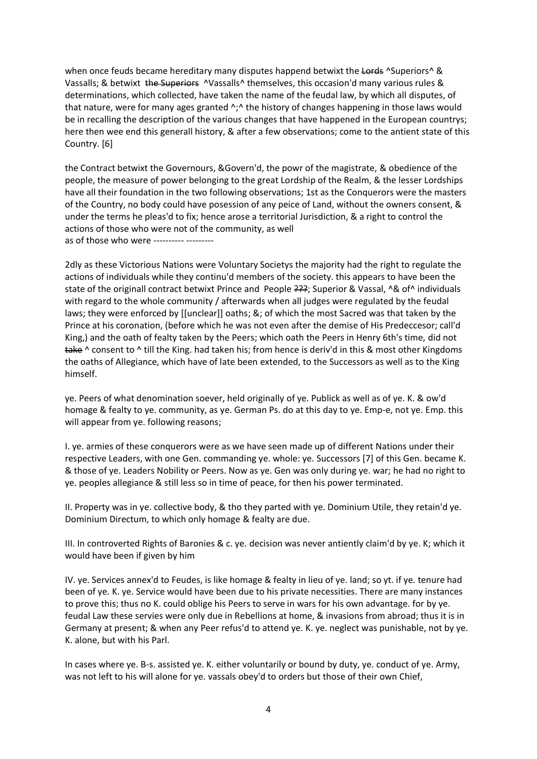when once feuds became hereditary many disputes happend betwixt the Lords ^Superiors^ & Vassalls; & betwixt the Superiors ^Vassalls^ themselves, this occasion'd many various rules & determinations, which collected, have taken the name of the feudal law, by which all disputes, of that nature, were for many ages granted  $\gamma$ . the history of changes happening in those laws would be in recalling the description of the various changes that have happened in the European countrys; here then wee end this generall history, & after a few observations; come to the antient state of this Country. [6]

the Contract betwixt the Governours, &Govern'd, the powr of the magistrate, & obedience of the people, the measure of power belonging to the great Lordship of the Realm, & the lesser Lordships have all their foundation in the two following observations; 1st as the Conquerors were the masters of the Country, no body could have posession of any peice of Land, without the owners consent, & under the terms he pleas'd to fix; hence arose a territorial Jurisdiction, & a right to control the actions of those who were not of the community, as well as of those who were ---------- ---------

2dly as these Victorious Nations were Voluntary Societys the majority had the right to regulate the actions of individuals while they continu'd members of the society. this appears to have been the state of the originall contract betwixt Prince and People ???; Superior & Vassal, ^& of^ individuals with regard to the whole community / afterwards when all judges were regulated by the feudal laws; they were enforced by [[unclear]] oaths; &; of which the most Sacred was that taken by the Prince at his coronation, (before which he was not even after the demise of His Predeccesor; call'd King,) and the oath of fealty taken by the Peers; which oath the Peers in Henry 6th's time, did not take ^ consent to ^ till the King. had taken his; from hence is deriv'd in this & most other Kingdoms the oaths of Allegiance, which have of late been extended, to the Successors as well as to the King himself.

ye. Peers of what denomination soever, held originally of ye. Publick as well as of ye. K. & ow'd homage & fealty to ye. community, as ye. German Ps. do at this day to ye. Emp-e, not ye. Emp. this will appear from ye. following reasons;

I. ye. armies of these conquerors were as we have seen made up of different Nations under their respective Leaders, with one Gen. commanding ye. whole: ye. Successors [7] of this Gen. became K. & those of ye. Leaders Nobility or Peers. Now as ye. Gen was only during ye. war; he had no right to ye. peoples allegiance & still less so in time of peace, for then his power terminated.

II. Property was in ye. collective body, & tho they parted with ye. Dominium Utile, they retain'd ye. Dominium Directum, to which only homage & fealty are due.

III. In controverted Rights of Baronies & c. ye. decision was never antiently claim'd by ye. K; which it would have been if given by him

IV. ye. Services annex'd to Feudes, is like homage & fealty in lieu of ye. land; so yt. if ye. tenure had been of ye. K. ye. Service would have been due to his private necessities. There are many instances to prove this; thus no K. could oblige his Peers to serve in wars for his own advantage. for by ye. feudal Law these servies were only due in Rebellions at home, & invasions from abroad; thus it is in Germany at present; & when any Peer refus'd to attend ye. K. ye. neglect was punishable, not by ye. K. alone, but with his Parl.

In cases where ye. B-s. assisted ye. K. either voluntarily or bound by duty, ye. conduct of ye. Army, was not left to his will alone for ye. vassals obey'd to orders but those of their own Chief,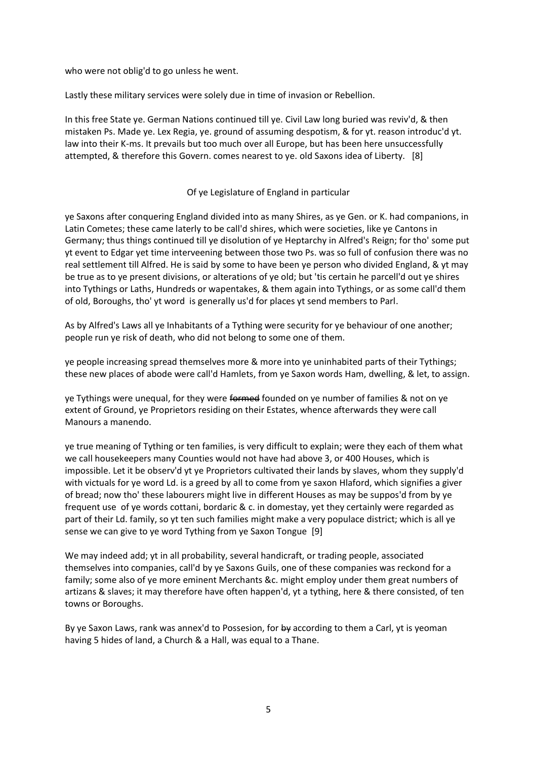who were not oblig'd to go unless he went.

Lastly these military services were solely due in time of invasion or Rebellion.

In this free State ye. German Nations continued till ye. Civil Law long buried was reviv'd, & then mistaken Ps. Made ye. Lex Regia, ye. ground of assuming despotism, & for yt. reason introduc'd yt. law into their K-ms. It prevails but too much over all Europe, but has been here unsuccessfully attempted, & therefore this Govern. comes nearest to ye. old Saxons idea of Liberty. [8]

# Of ye Legislature of England in particular

ye Saxons after conquering England divided into as many Shires, as ye Gen. or K. had companions, in Latin Cometes; these came laterly to be call'd shires, which were societies, like ye Cantons in Germany; thus things continued till ye disolution of ye Heptarchy in Alfred's Reign; for tho' some put yt event to Edgar yet time interveening between those two Ps. was so full of confusion there was no real settlement till Alfred. He is said by some to have been ye person who divided England, & yt may be true as to ye present divisions, or alterations of ye old; but 'tis certain he parcell'd out ye shires into Tythings or Laths, Hundreds or wapentakes, & them again into Tythings, or as some call'd them of old, Boroughs, tho' yt word is generally us'd for places yt send members to Parl.

As by Alfred's Laws all ye Inhabitants of a Tything were security for ye behaviour of one another; people run ye risk of death, who did not belong to some one of them.

ye people increasing spread themselves more & more into ye uninhabited parts of their Tythings; these new places of abode were call'd Hamlets, from ye Saxon words Ham, dwelling, & let, to assign.

ye Tythings were unequal, for they were formed founded on ye number of families & not on ye extent of Ground, ye Proprietors residing on their Estates, whence afterwards they were call Manours a manendo.

ye true meaning of Tything or ten families, is very difficult to explain; were they each of them what we call housekeepers many Counties would not have had above 3, or 400 Houses, which is impossible. Let it be observ'd yt ye Proprietors cultivated their lands by slaves, whom they supply'd with victuals for ye word Ld. is a greed by all to come from ye saxon Hlaford, which signifies a giver of bread; now tho' these labourers might live in different Houses as may be suppos'd from by ye frequent use of ye words cottani, bordaric & c. in domestay, yet they certainly were regarded as part of their Ld. family, so yt ten such families might make a very populace district; which is all ye sense we can give to ye word Tything from ye Saxon Tongue [9]

We may indeed add; yt in all probability, several handicraft, or trading people, associated themselves into companies, call'd by ye Saxons Guils, one of these companies was reckond for a family; some also of ye more eminent Merchants &c. might employ under them great numbers of artizans & slaves; it may therefore have often happen'd, yt a tything, here & there consisted, of ten towns or Boroughs.

By ye Saxon Laws, rank was annex'd to Possesion, for by according to them a Carl, yt is yeoman having 5 hides of land, a Church & a Hall, was equal to a Thane.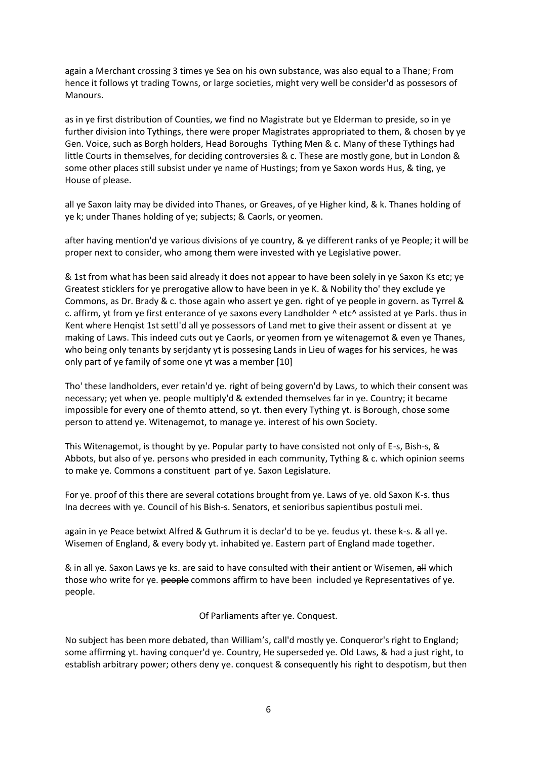again a Merchant crossing 3 times ye Sea on his own substance, was also equal to a Thane; From hence it follows yt trading Towns, or large societies, might very well be consider'd as possesors of Manours.

as in ye first distribution of Counties, we find no Magistrate but ye Elderman to preside, so in ye further division into Tythings, there were proper Magistrates appropriated to them, & chosen by ye Gen. Voice, such as Borgh holders, Head Boroughs Tything Men & c. Many of these Tythings had little Courts in themselves, for deciding controversies & c. These are mostly gone, but in London & some other places still subsist under ye name of Hustings; from ye Saxon words Hus, & ting, ye House of please.

all ye Saxon laity may be divided into Thanes, or Greaves, of ye Higher kind, & k. Thanes holding of ye k; under Thanes holding of ye; subjects; & Caorls, or yeomen.

after having mention'd ye various divisions of ye country, & ye different ranks of ye People; it will be proper next to consider, who among them were invested with ye Legislative power.

& 1st from what has been said already it does not appear to have been solely in ye Saxon Ks etc; ye Greatest sticklers for ye prerogative allow to have been in ye K. & Nobility tho' they exclude ye Commons, as Dr. Brady & c. those again who assert ye gen. right of ye people in govern. as Tyrrel & c. affirm, yt from ye first enterance of ye saxons every Landholder ^ etc^ assisted at ye Parls. thus in Kent where Henqist 1st settl'd all ye possessors of Land met to give their assent or dissent at ye making of Laws. This indeed cuts out ye Caorls, or yeomen from ye witenagemot & even ye Thanes, who being only tenants by serjdanty yt is possesing Lands in Lieu of wages for his services, he was only part of ye family of some one yt was a member [10]

Tho' these landholders, ever retain'd ye. right of being govern'd by Laws, to which their consent was necessary; yet when ye. people multiply'd & extended themselves far in ye. Country; it became impossible for every one of themto attend, so yt. then every Tything yt. is Borough, chose some person to attend ye. Witenagemot, to manage ye. interest of his own Society.

This Witenagemot, is thought by ye. Popular party to have consisted not only of E-s, Bish-s, & Abbots, but also of ye. persons who presided in each community, Tything & c. which opinion seems to make ye. Commons a constituent part of ye. Saxon Legislature.

For ye. proof of this there are several cotations brought from ye. Laws of ye. old Saxon K-s. thus Ina decrees with ye. Council of his Bish-s. Senators, et senioribus sapientibus postuli mei.

again in ye Peace betwixt Alfred & Guthrum it is declar'd to be ye. feudus yt. these k-s. & all ye. Wisemen of England, & every body yt. inhabited ye. Eastern part of England made together.

& in all ye. Saxon Laws ye ks. are said to have consulted with their antient or Wisemen, all which those who write for ye. people commons affirm to have been included ye Representatives of ye. people.

Of Parliaments after ye. Conquest.

No subject has been more debated, than William's, call'd mostly ye. Conqueror's right to England; some affirming yt. having conquer'd ye. Country, He superseded ye. Old Laws, & had a just right, to establish arbitrary power; others deny ye. conquest & consequently his right to despotism, but then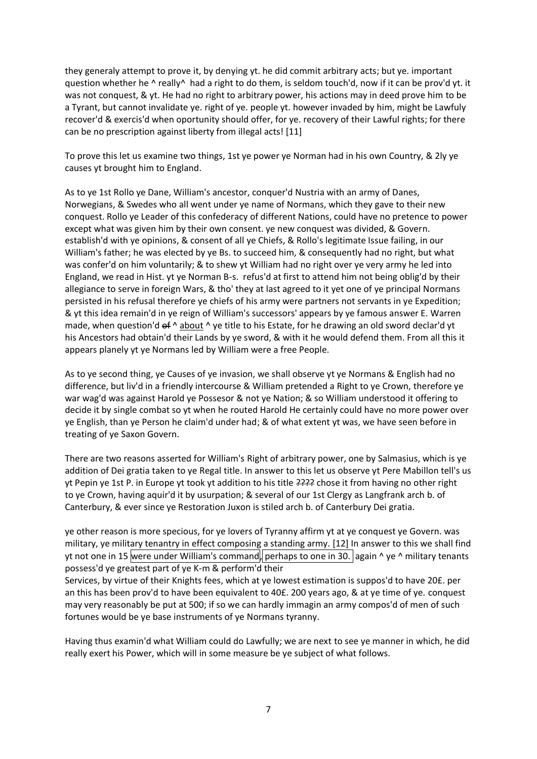they generaly attempt to prove it, by denying yt. he did commit arbitrary acts; but ye. important question whether he ^ really^ had a right to do them, is seldom touch'd, now if it can be prov'd yt. it was not conquest, & yt. He had no right to arbitrary power, his actions may in deed prove him to be a Tyrant, but cannot invalidate ye. right of ye. people yt. however invaded by him, might be Lawfuly recover'd & exercis'd when oportunity should offer, for ye. recovery of their Lawful rights; for there can be no prescription against liberty from illegal acts! [11]

To prove this let us examine two things, 1st ye power ye Norman had in his own Country, & 2ly ye causes yt brought him to England.

As to ye 1st Rollo ye Dane, William's ancestor, conquer'd Nustria with an army of Danes, Norwegians, & Swedes who all went under ye name of Normans, which they gave to their new conquest. Rollo ye Leader of this confederacy of different Nations, could have no pretence to power except what was given him by their own consent. ye new conquest was divided, & Govern. establish'd with ye opinions, & consent of all ye Chiefs, & Rollo's legitimate Issue failing, in our William's father; he was elected by ye Bs. to succeed him, & consequently had no right, but what was confer'd on him voluntarily; & to shew yt William had no right over ye very army he led into England, we read in Hist. yt ye Norman B-s. refus'd at first to attend him not being oblig'd by their allegiance to serve in foreign Wars, & tho' they at last agreed to it yet one of ye principal Normans persisted in his refusal therefore ye chiefs of his army were partners not servants in ye Expedition; & yt this idea remain'd in ye reign of William's successors' appears by ye famous answer E. Warren made, when question'd  $\epsilon f \wedge$  about  $\wedge$  ye title to his Estate, for he drawing an old sword declar'd yt his Ancestors had obtain'd their Lands by ye sword, & with it he would defend them. From all this it appears planely yt ye Normans led by William were a free People.

As to ye second thing, ye Causes of ye invasion, we shall observe yt ye Normans & English had no difference, but liv'd in a friendly intercourse & William pretended a Right to ye Crown, therefore ye war wag'd was against Harold ye Possesor & not ye Nation; & so William understood it offering to decide it by single combat so yt when he routed Harold He certainly could have no more power over ye English, than ye Person he claim'd under had; & of what extent yt was, we have seen before in treating of ye Saxon Govern.

There are two reasons asserted for William's Right of arbitrary power, one by Salmasius, which is ye addition of Dei gratia taken to ye Regal title. In answer to this let us observe yt Pere Mabillon tell's us yt Pepin ye 1st P. in Europe yt took yt addition to his title ???? chose it from having no other right to ye Crown, having aquir'd it by usurpation; & several of our 1st Clergy as Langfrank arch b. of Canterbury, & ever since ye Restoration Juxon is stiled arch b. of Canterbury Dei gratia.

ye other reason is more specious, for ye lovers of Tyranny affirm yt at ye conquest ye Govern. was military, ye military tenantry in effect composing a standing army. [12] In answer to this we shall find yt not one in 15 were under William's command, perhaps to one in 30. again  $\land$  ye  $\land$  military tenants possess'd ye greatest part of ye K-m & perform'd their

Services, by virtue of their Knights fees, which at ye lowest estimation is suppos'd to have 20£. per an this has been prov'd to have been equivalent to 40£. 200 years ago, & at ye time of ye. conquest may very reasonably be put at 500; if so we can hardly immagin an army compos'd of men of such fortunes would be ye base instruments of ye Normans tyranny.

Having thus examin'd what William could do Lawfully; we are next to see ye manner in which, he did really exert his Power, which will in some measure be ye subject of what follows.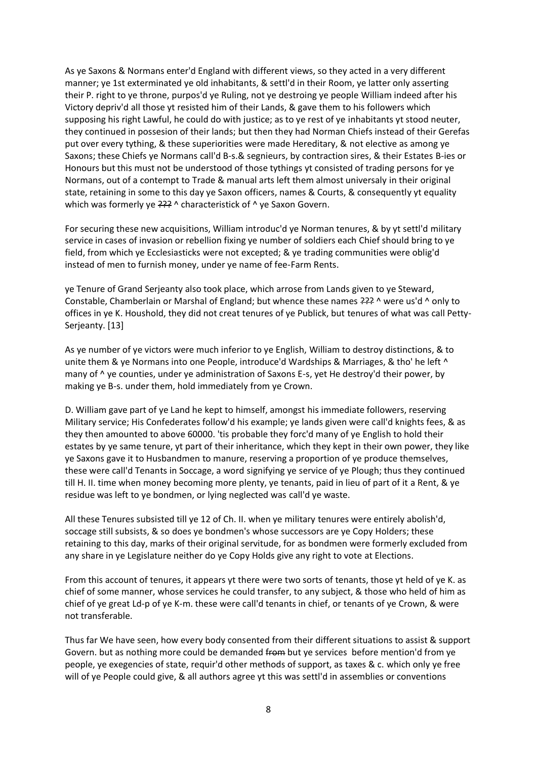As ye Saxons & Normans enter'd England with different views, so they acted in a very different manner; ye 1st exterminated ye old inhabitants, & settl'd in their Room, ye latter only asserting their P. right to ye throne, purpos'd ye Ruling, not ye destroing ye people William indeed after his Victory depriv'd all those yt resisted him of their Lands, & gave them to his followers which supposing his right Lawful, he could do with justice; as to ye rest of ye inhabitants yt stood neuter, they continued in possesion of their lands; but then they had Norman Chiefs instead of their Gerefas put over every tything, & these superiorities were made Hereditary, & not elective as among ye Saxons; these Chiefs ye Normans call'd B-s.& segnieurs, by contraction sires, & their Estates B-ies or Honours but this must not be understood of those tythings yt consisted of trading persons for ye Normans, out of a contempt to Trade & manual arts left them almost universaly in their original state, retaining in some to this day ye Saxon officers, names & Courts, & consequently yt equality which was formerly ye  $222^{\circ}$  ^ characteristick of ^ ye Saxon Govern.

For securing these new acquisitions, William introduc'd ye Norman tenures, & by yt settl'd military service in cases of invasion or rebellion fixing ye number of soldiers each Chief should bring to ye field, from which ye Ecclesiasticks were not excepted; & ye trading communities were oblig'd instead of men to furnish money, under ye name of fee-Farm Rents.

ye Tenure of Grand Serjeanty also took place, which arrose from Lands given to ye Steward, Constable, Chamberlain or Marshal of England; but whence these names  $222^{\circ}$  were us'd  $\wedge$  only to offices in ye K. Houshold, they did not creat tenures of ye Publick, but tenures of what was call Petty-Serjeanty. [13]

As ye number of ye victors were much inferior to ye English, William to destroy distinctions, & to unite them & ye Normans into one People, introduce'd Wardships & Marriages, & tho' he left ^ many of  $\wedge$  ye counties, under ye administration of Saxons E-s, yet He destroy'd their power, by making ye B-s. under them, hold immediately from ye Crown.

D. William gave part of ye Land he kept to himself, amongst his immediate followers, reserving Military service; His Confederates follow'd his example; ye lands given were call'd knights fees, & as they then amounted to above 60000. 'tis probable they forc'd many of ye English to hold their estates by ye same tenure, yt part of their inheritance, which they kept in their own power, they like ye Saxons gave it to Husbandmen to manure, reserving a proportion of ye produce themselves, these were call'd Tenants in Soccage, a word signifying ye service of ye Plough; thus they continued till H. II. time when money becoming more plenty, ye tenants, paid in lieu of part of it a Rent, & ye residue was left to ye bondmen, or lying neglected was call'd ye waste.

All these Tenures subsisted till ye 12 of Ch. II. when ye military tenures were entirely abolish'd, soccage still subsists, & so does ye bondmen's whose successors are ye Copy Holders; these retaining to this day, marks of their original servitude, for as bondmen were formerly excluded from any share in ye Legislature neither do ye Copy Holds give any right to vote at Elections.

From this account of tenures, it appears yt there were two sorts of tenants, those yt held of ye K. as chief of some manner, whose services he could transfer, to any subject, & those who held of him as chief of ye great Ld-p of ye K-m. these were call'd tenants in chief, or tenants of ye Crown, & were not transferable.

Thus far We have seen, how every body consented from their different situations to assist & support Govern. but as nothing more could be demanded from but ye services before mention'd from ye people, ye exegencies of state, requir'd other methods of support, as taxes & c. which only ye free will of ye People could give, & all authors agree yt this was settl'd in assemblies or conventions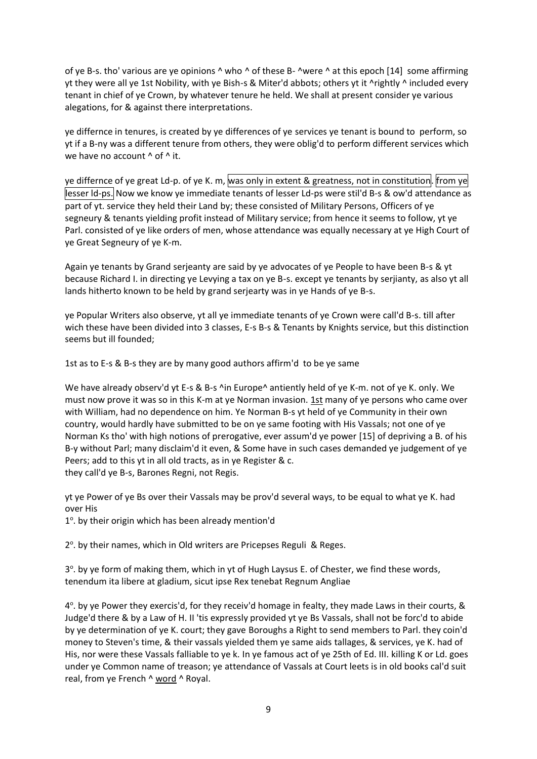of ye B-s. tho' various are ye opinions  $\wedge$  who  $\wedge$  of these B-  $\wedge$ were  $\wedge$  at this epoch [14] some affirming yt they were all ye 1st Nobility, with ye Bish-s & Miter'd abbots; others yt it ^rightly ^ included every tenant in chief of ye Crown, by whatever tenure he held. We shall at present consider ye various alegations, for & against there interpretations.

ye differnce in tenures, is created by ye differences of ye services ye tenant is bound to perform, so yt if a B-ny was a different tenure from others, they were oblig'd to perform different services which we have no account  $^{\wedge}$  of  $^{\wedge}$  it.

ye differnce of ye great Ld-p. of ye K. m, was only in extent & greatness, not in constitution. from ye lesser ld-ps. Now we know ye immediate tenants of lesser Ld-ps were stil'd B-s & ow'd attendance as part of yt. service they held their Land by; these consisted of Military Persons, Officers of ye segneury & tenants yielding profit instead of Military service; from hence it seems to follow, yt ye Parl. consisted of ye like orders of men, whose attendance was equally necessary at ye High Court of ye Great Segneury of ye K-m.

Again ye tenants by Grand serjeanty are said by ye advocates of ye People to have been B-s & yt because Richard I. in directing ye Levying a tax on ye B-s. except ye tenants by serjianty, as also yt all lands hitherto known to be held by grand serjearty was in ye Hands of ye B-s.

ye Popular Writers also observe, yt all ye immediate tenants of ye Crown were call'd B-s. till after wich these have been divided into 3 classes, E-s B-s & Tenants by Knights service, but this distinction seems but ill founded;

1st as to E-s & B-s they are by many good authors affirm'd to be ye same

We have already observ'd yt E-s & B-s ^in Europe^ antiently held of ye K-m. not of ye K. only. We must now prove it was so in this K-m at ye Norman invasion. 1st many of ye persons who came over with William, had no dependence on him. Ye Norman B-s yt held of ye Community in their own country, would hardly have submitted to be on ye same footing with His Vassals; not one of ye Norman Ks tho' with high notions of prerogative, ever assum'd ye power [15] of depriving a B. of his B-y without Parl; many disclaim'd it even, & Some have in such cases demanded ye judgement of ye Peers; add to this yt in all old tracts, as in ye Register & c. they call'd ye B-s, Barones Regni, not Regis.

yt ye Power of ye Bs over their Vassals may be prov'd several ways, to be equal to what ye K. had over His

1°. by their origin which has been already mention'd

2<sup>o</sup>. by their names, which in Old writers are Pricepses Reguli & Reges.

3°. by ye form of making them, which in yt of Hugh Laysus E. of Chester, we find these words, tenendum ita libere at gladium, sicut ipse Rex tenebat Regnum Angliae

4<sup>o</sup>. by ye Power they exercis'd, for they receiv'd homage in fealty, they made Laws in their courts, & Judge'd there & by a Law of H. II 'tis expressly provided yt ye Bs Vassals, shall not be forc'd to abide by ye determination of ye K. court; they gave Boroughs a Right to send members to Parl. they coin'd money to Steven's time, & their vassals yielded them ye same aids tallages, & services, ye K. had of His, nor were these Vassals falliable to ye k. In ye famous act of ye 25th of Ed. III. killing K or Ld. goes under ye Common name of treason; ye attendance of Vassals at Court leets is in old books cal'd suit real, from ye French ^ word ^ Royal.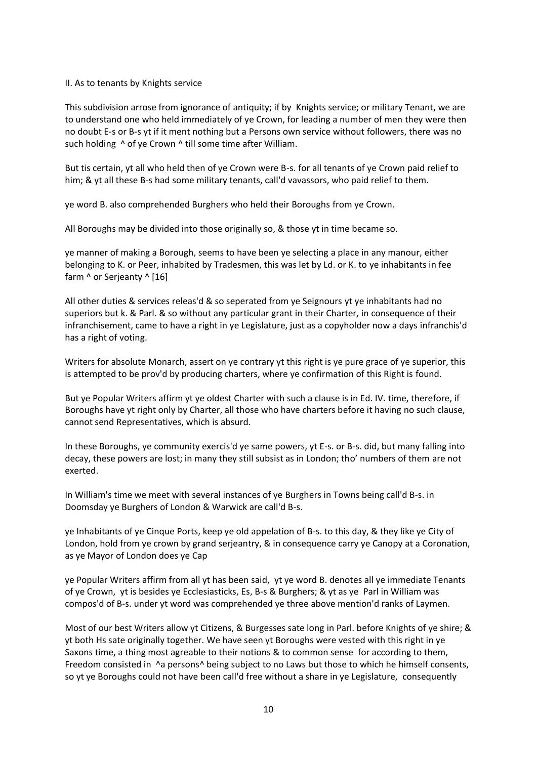## II. As to tenants by Knights service

This subdivision arrose from ignorance of antiquity; if by Knights service; or military Tenant, we are to understand one who held immediately of ye Crown, for leading a number of men they were then no doubt E-s or B-s yt if it ment nothing but a Persons own service without followers, there was no such holding  $\wedge$  of ye Crown  $\wedge$  till some time after William.

But tis certain, yt all who held then of ye Crown were B-s. for all tenants of ye Crown paid relief to him; & yt all these B-s had some military tenants, call'd vavassors, who paid relief to them.

ye word B. also comprehended Burghers who held their Boroughs from ye Crown.

All Boroughs may be divided into those originally so, & those yt in time became so.

ye manner of making a Borough, seems to have been ye selecting a place in any manour, either belonging to K. or Peer, inhabited by Tradesmen, this was let by Ld. or K. to ye inhabitants in fee farm ^ or Serjeanty ^ [16]

All other duties & services releas'd & so seperated from ye Seignours yt ye inhabitants had no superiors but k. & Parl. & so without any particular grant in their Charter, in consequence of their infranchisement, came to have a right in ye Legislature, just as a copyholder now a days infranchis'd has a right of voting.

Writers for absolute Monarch, assert on ye contrary yt this right is ye pure grace of ye superior, this is attempted to be prov'd by producing charters, where ye confirmation of this Right is found.

But ye Popular Writers affirm yt ye oldest Charter with such a clause is in Ed. IV. time, therefore, if Boroughs have yt right only by Charter, all those who have charters before it having no such clause, cannot send Representatives, which is absurd.

In these Boroughs, ye community exercis'd ye same powers, yt E-s. or B-s. did, but many falling into decay, these powers are lost; in many they still subsist as in London; tho' numbers of them are not exerted.

In William's time we meet with several instances of ye Burghers in Towns being call'd B-s. in Doomsday ye Burghers of London & Warwick are call'd B-s.

ye Inhabitants of ye Cinque Ports, keep ye old appelation of B-s. to this day, & they like ye City of London, hold from ye crown by grand serjeantry, & in consequence carry ye Canopy at a Coronation, as ye Mayor of London does ye Cap

ye Popular Writers affirm from all yt has been said, yt ye word B. denotes all ye immediate Tenants of ye Crown, yt is besides ye Ecclesiasticks, Es, B-s & Burghers; & yt as ye Parl in William was compos'd of B-s. under yt word was comprehended ye three above mention'd ranks of Laymen.

Most of our best Writers allow yt Citizens, & Burgesses sate long in Parl. before Knights of ye shire; & yt both Hs sate originally together. We have seen yt Boroughs were vested with this right in ye Saxons time, a thing most agreable to their notions & to common sense for according to them, Freedom consisted in ^a persons^ being subject to no Laws but those to which he himself consents, so yt ye Boroughs could not have been call'd free without a share in ye Legislature, consequently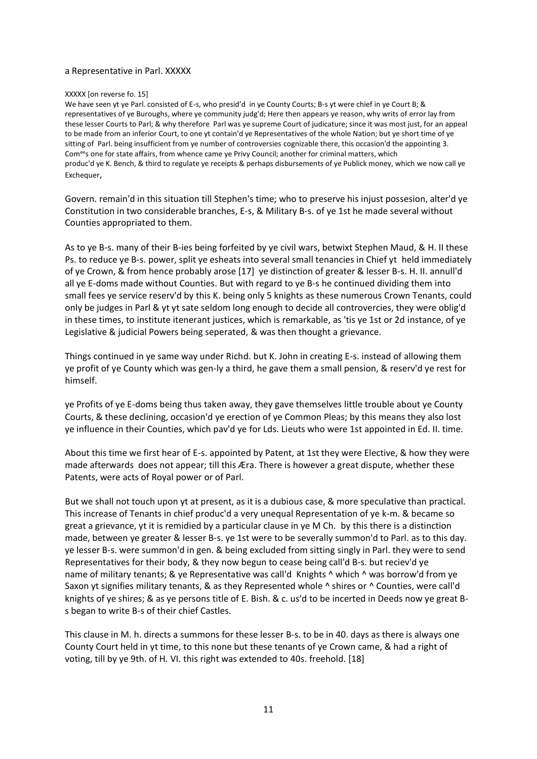### a Representative in Parl. XXXXX

#### XXXXX [on reverse fo. 15]

We have seen yt ye Parl. consisted of E-s, who presid'd in ye County Courts; B-s yt were chief in ye Court B; & representatives of ye Buroughs, where ye community judg'd; Here then appears ye reason, why writs of error lay from these lesser Courts to Parl; & why therefore Parl was ye supreme Court of judicature; since it was most just, for an appeal to be made from an inferior Court, to one yt contain'd ye Representatives of the whole Nation; but ye short time of ye sitting of Parl. being insufficient from ye number of controversies cognizable there, this occasion'd the appointing 3. Comees one for state affairs, from whence came ye Privy Council; another for criminal matters, which produc'd ye K. Bench, & third to regulate ye receipts & perhaps disbursements of ye Publick money, which we now call ye Exchequer.

Govern. remain'd in this situation till Stephen's time; who to preserve his injust possesion, alter'd ye Constitution in two considerable branches, E-s, & Military B-s. of ye 1st he made several without Counties appropriated to them.

As to ye B-s. many of their B-ies being forfeited by ye civil wars, betwixt Stephen Maud, & H. II these Ps. to reduce ye B-s. power, split ye esheats into several small tenancies in Chief yt held immediately of ye Crown, & from hence probably arose [17] ye distinction of greater & lesser B-s. H. II. annull'd all ye E-doms made without Counties. But with regard to ye B-s he continued dividing them into small fees ye service reserv'd by this K. being only 5 knights as these numerous Crown Tenants, could only be judges in Parl & yt yt sate seldom long enough to decide all controvercies, they were oblig'd in these times, to institute itenerant justices, which is remarkable, as 'tis ye 1st or 2d instance, of ye Legislative & judicial Powers being seperated, & was then thought a grievance.

Things continued in ye same way under Richd. but K. John in creating E-s. instead of allowing them ye profit of ye County which was gen-ly a third, he gave them a small pension, & reserv'd ye rest for himself.

ye Profits of ye E-doms being thus taken away, they gave themselves little trouble about ye County Courts, & these declining, occasion'd ye erection of ye Common Pleas; by this means they also lost ye influence in their Counties, which pav'd ye for Lds. Lieuts who were 1st appointed in Ed. II. time.

About this time we first hear of E-s. appointed by Patent, at 1st they were Elective, & how they were made afterwards does not appear; till this Æra. There is however a great dispute, whether these Patents, were acts of Royal power or of Parl.

But we shall not touch upon yt at present, as it is a dubious case, & more speculative than practical. This increase of Tenants in chief produc'd a very unequal Representation of ye k-m. & became so great a grievance, yt it is remidied by a particular clause in ye M Ch. by this there is a distinction made, between ye greater & lesser B-s. ye 1st were to be severally summon'd to Parl. as to this day. ye lesser B-s. were summon'd in gen. & being excluded from sitting singly in Parl. they were to send Representatives for their body, & they now begun to cease being call'd B-s. but reciev'd ye name of military tenants; & ye Representative was call'd Knights ^ which ^ was borrow'd from ye Saxon yt signifies military tenants, & as they Represented whole ^ shires or ^ Counties, were call'd knights of ye shires; & as ye persons title of E. Bish. & c. us'd to be incerted in Deeds now ye great Bs began to write B-s of their chief Castles.

This clause in M. h. directs a summons for these lesser B-s. to be in 40. days as there is always one County Court held in yt time, to this none but these tenants of ye Crown came, & had a right of voting, till by ye 9th. of H. VI. this right was extended to 40s. freehold. [18]